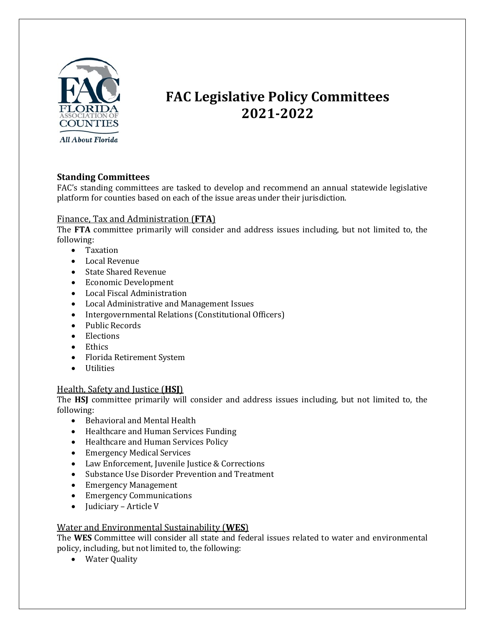

# **FAC Legislative Policy Committees 2021-2022**

# **Standing Committees**

FAC's standing committees are tasked to develop and recommend an annual statewide legislative platform for counties based on each of the issue areas under their jurisdiction.

## Finance, Tax and Administration (**FTA**)

The **FTA** committee primarily will consider and address issues including, but not limited to, the following:

- Taxation
- Local Revenue
- State Shared Revenue
- Economic Development
- Local Fiscal Administration
- Local Administrative and Management Issues
- Intergovernmental Relations (Constitutional Officers)
- Public Records
- Elections
- Ethics
- Florida Retirement System
- Utilities

## Health, Safety and Justice (**HSJ**)

The **HSJ** committee primarily will consider and address issues including, but not limited to, the following:

- Behavioral and Mental Health
- Healthcare and Human Services Funding
- Healthcare and Human Services Policy
- Emergency Medical Services
- Law Enforcement, Juvenile Justice & Corrections
- Substance Use Disorder Prevention and Treatment
- Emergency Management
- Emergency Communications
- Judiciary Article V

#### Water and Environmental Sustainability (**WES**)

The **WES** Committee will consider all state and federal issues related to water and environmental policy, including, but not limited to, the following:

• Water Quality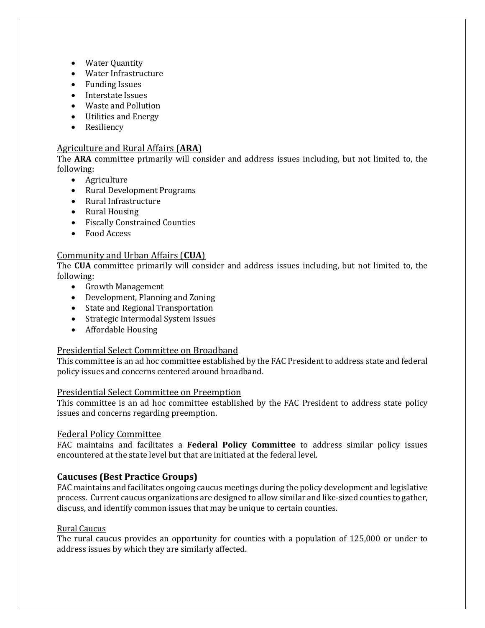- Water Quantity
- Water Infrastructure
- Funding Issues
- Interstate Issues
- Waste and Pollution
- Utilities and Energy
- Resiliency

## Agriculture and Rural Affairs (**ARA**)

The **ARA** committee primarily will consider and address issues including, but not limited to, the following:

- Agriculture
- Rural Development Programs
- Rural Infrastructure
- Rural Housing
- Fiscally Constrained Counties
- Food Access

## Community and Urban Affairs (**CUA**)

The **CUA** committee primarily will consider and address issues including, but not limited to, the following:

- Growth Management
- Development, Planning and Zoning
- State and Regional Transportation
- Strategic Intermodal System Issues
- Affordable Housing

#### Presidential Select Committee on Broadband

This committee is an ad hoc committee established by the FAC President to address state and federal policy issues and concerns centered around broadband.

#### Presidential Select Committee on Preemption

This committee is an ad hoc committee established by the FAC President to address state policy issues and concerns regarding preemption.

#### Federal Policy Committee

FAC maintains and facilitates a **Federal Policy Committee** to address similar policy issues encountered at the state level but that are initiated at the federal level.

## **Caucuses (Best Practice Groups)**

FAC maintains and facilitates ongoing caucus meetings during the policy development and legislative process. Current caucus organizations are designed to allow similar and like-sized counties to gather, discuss, and identify common issues that may be unique to certain counties.

#### Rural Caucus

The rural caucus provides an opportunity for counties with a population of 125,000 or under to address issues by which they are similarly affected.